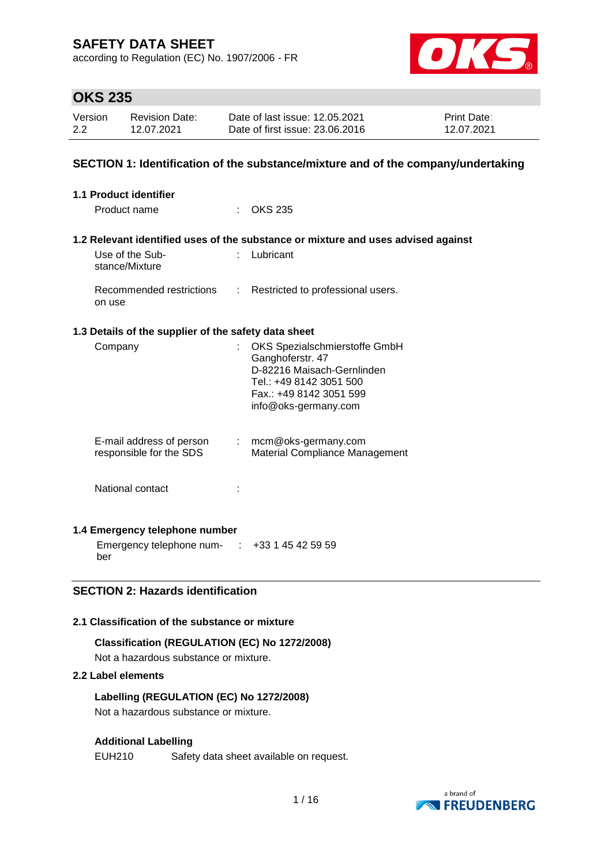according to Regulation (EC) No. 1907/2006 - FR



## **OKS 235**

| Version | <b>Revision Date:</b> | Date of last issue: 12.05.2021  | <b>Print Date:</b> |
|---------|-----------------------|---------------------------------|--------------------|
| 2.2     | 12.07.2021            | Date of first issue: 23.06.2016 | 12.07.2021         |

### **SECTION 1: Identification of the substance/mixture and of the company/undertaking**

| <b>1.1 Product identifier</b>                        |    |                                                                                   |
|------------------------------------------------------|----|-----------------------------------------------------------------------------------|
| Product name                                         |    | <b>OKS 235</b>                                                                    |
|                                                      |    |                                                                                   |
|                                                      |    | 1.2 Relevant identified uses of the substance or mixture and uses advised against |
| Use of the Sub-<br>stance/Mixture                    |    | Lubricant                                                                         |
| Recommended restrictions<br>on use                   | t. | Restricted to professional users.                                                 |
| 1.3 Details of the supplier of the safety data sheet |    |                                                                                   |
| Company                                              |    | OKS Spezialschmierstoffe GmbH                                                     |
|                                                      |    | Ganghoferstr. 47<br>D-82216 Maisach-Gernlinden                                    |
|                                                      |    | Tel.: +49 8142 3051 500                                                           |
|                                                      |    | Fax.: +49 8142 3051 599                                                           |
|                                                      |    | info@oks-germany.com                                                              |
|                                                      |    |                                                                                   |
| E-mail address of person<br>responsible for the SDS  |    | $:$ mcm@oks-germany.com<br>Material Compliance Management                         |
|                                                      |    |                                                                                   |
| National contact                                     |    |                                                                                   |
|                                                      |    |                                                                                   |
| 1.4 Emergency telephone number                       |    |                                                                                   |

Emergency telephone num-: +33 1 45 42 59 59 ber

## **SECTION 2: Hazards identification**

### **2.1 Classification of the substance or mixture**

#### **Classification (REGULATION (EC) No 1272/2008)**

Not a hazardous substance or mixture.

#### **2.2 Label elements**

#### **Labelling (REGULATION (EC) No 1272/2008)**

Not a hazardous substance or mixture.

#### **Additional Labelling**

EUH210 Safety data sheet available on request.

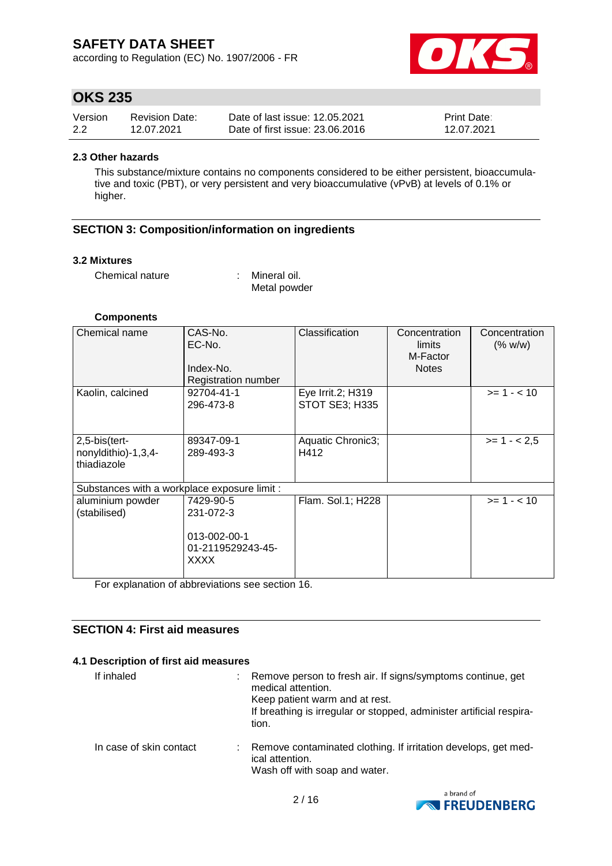according to Regulation (EC) No. 1907/2006 - FR



## **OKS 235**

| Version | <b>Revision Date:</b> | Date of last issue: 12.05.2021  | <b>Print Date:</b> |
|---------|-----------------------|---------------------------------|--------------------|
| 2.2     | 12.07.2021            | Date of first issue: 23,06,2016 | 12.07.2021         |

#### **2.3 Other hazards**

This substance/mixture contains no components considered to be either persistent, bioaccumulative and toxic (PBT), or very persistent and very bioaccumulative (vPvB) at levels of 0.1% or higher.

## **SECTION 3: Composition/information on ingredients**

#### **3.2 Mixtures**

Chemical nature : Mineral oil.

Metal powder

#### **Components**

| Chemical name                                       | CAS-No.<br>EC-No.<br>Index-No.<br>Registration number                      | Classification                             | Concentration<br>limits<br>M-Factor<br><b>Notes</b> | Concentration<br>(% w/w) |
|-----------------------------------------------------|----------------------------------------------------------------------------|--------------------------------------------|-----------------------------------------------------|--------------------------|
| Kaolin, calcined                                    | 92704-41-1<br>296-473-8                                                    | Eye Irrit.2; H319<br><b>STOT SE3; H335</b> |                                                     | $>= 1 - 10$              |
| 2,5-bis(tert-<br>nonyldithio)-1,3,4-<br>thiadiazole | 89347-09-1<br>289-493-3                                                    | Aquatic Chronic3;<br>H412                  |                                                     | $>= 1 - 2.5$             |
| Substances with a workplace exposure limit :        |                                                                            |                                            |                                                     |                          |
| aluminium powder<br>(stabilised)                    | 7429-90-5<br>231-072-3<br>013-002-00-1<br>01-2119529243-45-<br><b>XXXX</b> | Flam. Sol.1; H228                          |                                                     | $>= 1 - 10$              |

For explanation of abbreviations see section 16.

### **SECTION 4: First aid measures**

#### **4.1 Description of first aid measures**

| If inhaled              | Remove person to fresh air. If signs/symptoms continue, get<br>medical attention.<br>Keep patient warm and at rest.<br>If breathing is irregular or stopped, administer artificial respira-<br>tion. |
|-------------------------|------------------------------------------------------------------------------------------------------------------------------------------------------------------------------------------------------|
| In case of skin contact | Remove contaminated clothing. If irritation develops, get med-<br>ical attention.<br>Wash off with soap and water.                                                                                   |

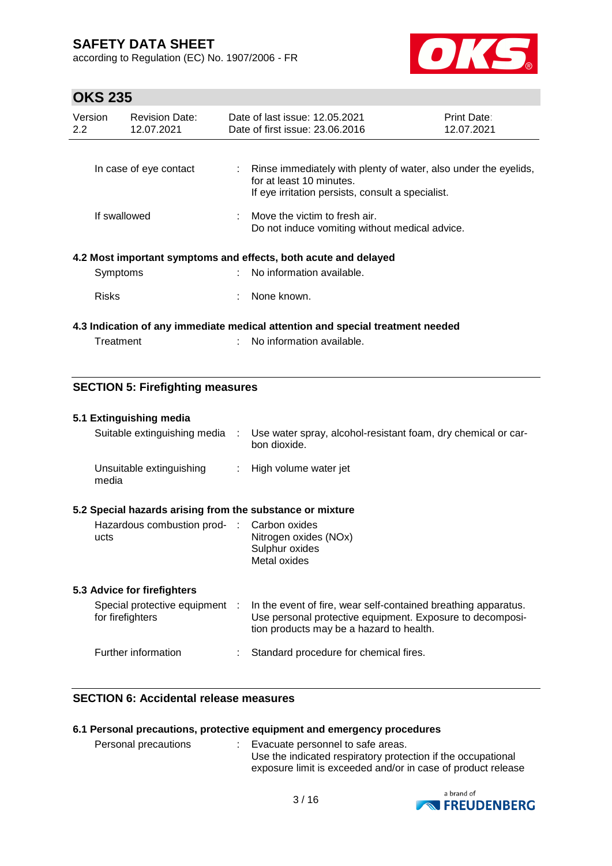according to Regulation (EC) No. 1907/2006 - FR



# **OKS 235**

| Version<br>$2.2^{\circ}$ | <b>Revision Date:</b><br>12.07.2021 | Date of last issue: 12.05.2021<br>Date of first issue: 23,06,2016                                                                                  | Print Date:<br>12.07.2021 |
|--------------------------|-------------------------------------|----------------------------------------------------------------------------------------------------------------------------------------------------|---------------------------|
|                          |                                     |                                                                                                                                                    |                           |
|                          | In case of eye contact              | : Rinse immediately with plenty of water, also under the eyelids,<br>for at least 10 minutes.<br>If eye irritation persists, consult a specialist. |                           |
|                          |                                     |                                                                                                                                                    |                           |
| If swallowed             |                                     | $\therefore$ Move the victim to fresh air.<br>Do not induce vomiting without medical advice.                                                       |                           |
|                          |                                     | 4.2 Most important symptoms and effects, both acute and delayed                                                                                    |                           |
| Symptoms                 |                                     | : No information available.                                                                                                                        |                           |
| <b>Risks</b>             |                                     | None known.                                                                                                                                        |                           |
|                          |                                     | 4.3 Indication of any immediate medical attention and special treatment needed                                                                     |                           |
| Treatment                |                                     | No information available.                                                                                                                          |                           |

## **SECTION 5: Firefighting measures**

#### **5.1 Extinguishing media**

| Suitable extinguishing media      | Use water spray, alcohol-resistant foam, dry chemical or car-<br>bon dioxide. |
|-----------------------------------|-------------------------------------------------------------------------------|
| Unsuitable extinguishing<br>media | : High volume water jet                                                       |

## **5.2 Special hazards arising from the substance or mixture**

| Hazardous combustion prod- : Carbon oxides<br>ucts | Nitrogen oxides (NOx) |
|----------------------------------------------------|-----------------------|
|                                                    | Sulphur oxides        |
|                                                    | Metal oxides          |

#### **5.3 Advice for firefighters**

| Special protective equipment :<br>for firefighters | In the event of fire, wear self-contained breathing apparatus.<br>Use personal protective equipment. Exposure to decomposi-<br>tion products may be a hazard to health. |
|----------------------------------------------------|-------------------------------------------------------------------------------------------------------------------------------------------------------------------------|
| Further information                                | Standard procedure for chemical fires.                                                                                                                                  |

## **SECTION 6: Accidental release measures**

### **6.1 Personal precautions, protective equipment and emergency procedures**

| Personal precautions |  | Evacuate personnel to safe areas.                            |
|----------------------|--|--------------------------------------------------------------|
|                      |  | Use the indicated respiratory protection if the occupational |
|                      |  | exposure limit is exceeded and/or in case of product release |

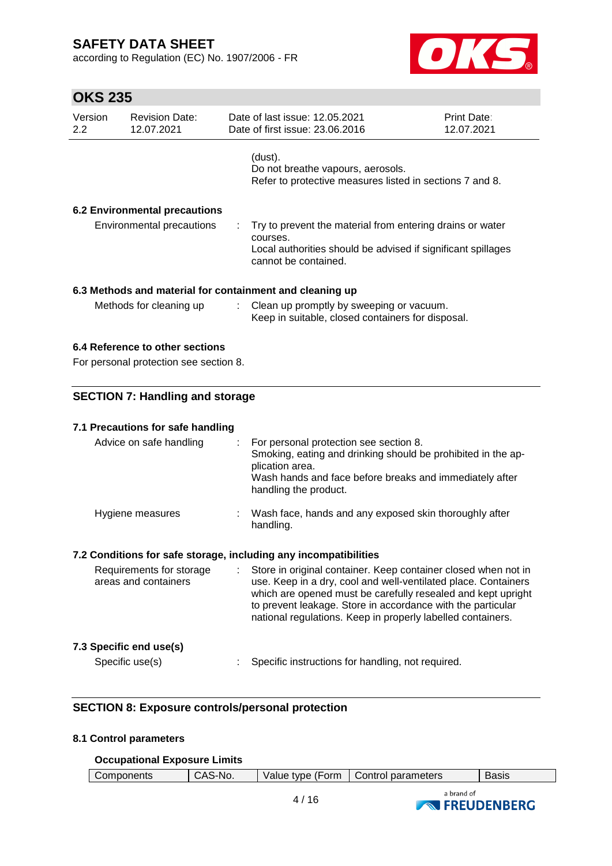according to Regulation (EC) No. 1907/2006 - FR



| <b>OKS 235</b>                         |                                                                                                                          |   |                                                                                                                                                                                                                                                                                                                                |                           |  |  |
|----------------------------------------|--------------------------------------------------------------------------------------------------------------------------|---|--------------------------------------------------------------------------------------------------------------------------------------------------------------------------------------------------------------------------------------------------------------------------------------------------------------------------------|---------------------------|--|--|
| Version<br>2.2                         | <b>Revision Date:</b><br>12.07.2021                                                                                      |   | Date of last issue: 12.05.2021<br>Date of first issue: 23.06.2016                                                                                                                                                                                                                                                              | Print Date:<br>12.07.2021 |  |  |
|                                        |                                                                                                                          |   | (dust).<br>Do not breathe vapours, aerosols.<br>Refer to protective measures listed in sections 7 and 8.                                                                                                                                                                                                                       |                           |  |  |
|                                        | <b>6.2 Environmental precautions</b>                                                                                     |   |                                                                                                                                                                                                                                                                                                                                |                           |  |  |
|                                        | <b>Environmental precautions</b>                                                                                         | ÷ | Try to prevent the material from entering drains or water<br>courses.<br>Local authorities should be advised if significant spillages<br>cannot be contained.                                                                                                                                                                  |                           |  |  |
|                                        |                                                                                                                          |   | 6.3 Methods and material for containment and cleaning up                                                                                                                                                                                                                                                                       |                           |  |  |
|                                        | Methods for cleaning up<br>Clean up promptly by sweeping or vacuum.<br>Keep in suitable, closed containers for disposal. |   |                                                                                                                                                                                                                                                                                                                                |                           |  |  |
|                                        | 6.4 Reference to other sections<br>For personal protection see section 8.                                                |   |                                                                                                                                                                                                                                                                                                                                |                           |  |  |
| <b>SECTION 7: Handling and storage</b> |                                                                                                                          |   |                                                                                                                                                                                                                                                                                                                                |                           |  |  |
|                                        | 7.1 Precautions for safe handling                                                                                        |   |                                                                                                                                                                                                                                                                                                                                |                           |  |  |
|                                        | Advice on safe handling                                                                                                  |   | For personal protection see section 8.<br>Smoking, eating and drinking should be prohibited in the ap-<br>plication area.<br>Wash hands and face before breaks and immediately after<br>handling the product.                                                                                                                  |                           |  |  |
|                                        | Hygiene measures                                                                                                         |   | Wash face, hands and any exposed skin thoroughly after<br>handling.                                                                                                                                                                                                                                                            |                           |  |  |
|                                        |                                                                                                                          |   | 7.2 Conditions for safe storage, including any incompatibilities                                                                                                                                                                                                                                                               |                           |  |  |
|                                        | Requirements for storage<br>areas and containers                                                                         |   | Store in original container. Keep container closed when not in<br>use. Keep in a dry, cool and well-ventilated place. Containers<br>which are opened must be carefully resealed and kept upright<br>to prevent leakage. Store in accordance with the particular<br>national regulations. Keep in properly labelled containers. |                           |  |  |
|                                        | 7.3 Specific end use(s)                                                                                                  |   |                                                                                                                                                                                                                                                                                                                                |                           |  |  |
|                                        | Specific use(s)                                                                                                          |   | Specific instructions for handling, not required.                                                                                                                                                                                                                                                                              |                           |  |  |

## **SECTION 8: Exposure controls/personal protection**

# **8.1 Control parameters**

## **Occupational Exposure Limits**

| Components | CAS-No. |      | Value type (Form   Control parameters | <b>Basis</b> |
|------------|---------|------|---------------------------------------|--------------|
|            |         | 4/16 | a brand of<br><b>NEREUDENBERG</b>     |              |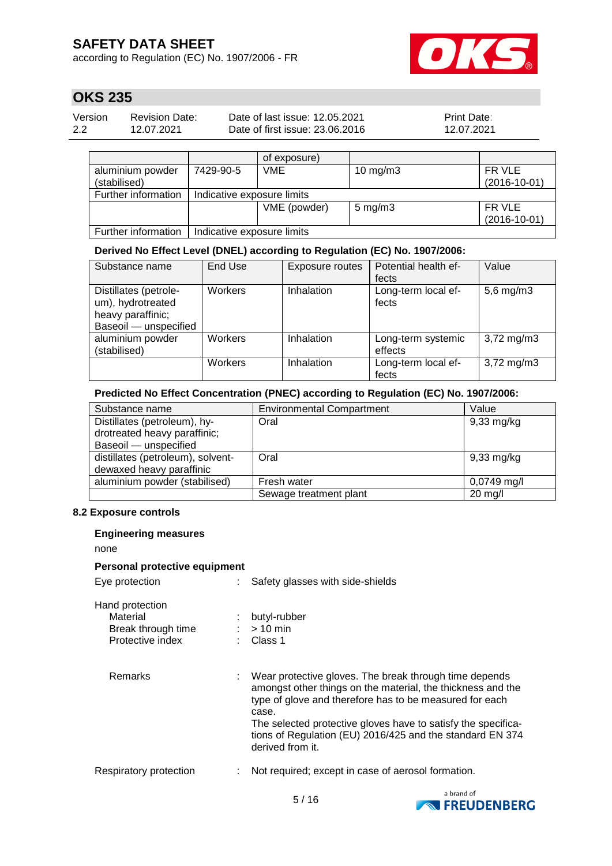according to Regulation (EC) No. 1907/2006 - FR



# **OKS 235**

| Version | <b>Revision Date:</b> | Date of last issue: 12.05.2021  | <b>Print Date:</b> |
|---------|-----------------------|---------------------------------|--------------------|
| 2.2     | 12.07.2021            | Date of first issue: 23,06,2016 | 12.07.2021         |

|                     |                            | of exposure) |                    |                |
|---------------------|----------------------------|--------------|--------------------|----------------|
| aluminium powder    | 7429-90-5                  | <b>VME</b>   | 10 mg/m $3$        | FR VLE         |
| (stabilised)        |                            |              |                    | $(2016-10-01)$ |
| Further information | Indicative exposure limits |              |                    |                |
|                     |                            | VME (powder) | $5 \text{ mg/m}$ 3 | FR VLE         |
|                     |                            |              |                    | $(2016-10-01)$ |
| Further information | Indicative exposure limits |              |                    |                |

## **Derived No Effect Level (DNEL) according to Regulation (EC) No. 1907/2006:**

| Substance name        | End Use | Exposure routes | Potential health ef- | Value                   |
|-----------------------|---------|-----------------|----------------------|-------------------------|
|                       |         |                 | fects                |                         |
| Distillates (petrole- | Workers | Inhalation      | Long-term local ef-  | $5,6$ mg/m $3$          |
| um), hydrotreated     |         |                 | fects                |                         |
| heavy paraffinic;     |         |                 |                      |                         |
| Baseoil - unspecified |         |                 |                      |                         |
| aluminium powder      | Workers | Inhalation      | Long-term systemic   | $3,72 \,\mathrm{mg/m}$  |
| (stabilised)          |         |                 | effects              |                         |
|                       | Workers | Inhalation      | Long-term local ef-  | $3,72 \,\mathrm{mg/m3}$ |
|                       |         |                 | fects                |                         |

#### **Predicted No Effect Concentration (PNEC) according to Regulation (EC) No. 1907/2006:**

| Substance name                    | <b>Environmental Compartment</b> | Value                |
|-----------------------------------|----------------------------------|----------------------|
| Distillates (petroleum), hy-      | Oral                             | $9,33$ mg/kg         |
| drotreated heavy paraffinic;      |                                  |                      |
| Baseoil - unspecified             |                                  |                      |
| distillates (petroleum), solvent- | Oral                             | $9,33 \text{ mg/kg}$ |
| dewaxed heavy paraffinic          |                                  |                      |
| aluminium powder (stabilised)     | Fresh water                      | $0,0749$ mg/l        |
|                                   | Sewage treatment plant           | $20$ mg/l            |

#### **8.2 Exposure controls**

| <b>Engineering measures</b>                                           |                                                                                                                                                                                                                                                                                                                                             |  |
|-----------------------------------------------------------------------|---------------------------------------------------------------------------------------------------------------------------------------------------------------------------------------------------------------------------------------------------------------------------------------------------------------------------------------------|--|
| none                                                                  |                                                                                                                                                                                                                                                                                                                                             |  |
| Personal protective equipment                                         |                                                                                                                                                                                                                                                                                                                                             |  |
| Eye protection                                                        | Safety glasses with side-shields                                                                                                                                                                                                                                                                                                            |  |
| Hand protection<br>Material<br>Break through time<br>Protective index | butyl-rubber<br>$:$ > 10 min<br>$\therefore$ Class 1                                                                                                                                                                                                                                                                                        |  |
| Remarks                                                               | Wear protective gloves. The break through time depends<br>amongst other things on the material, the thickness and the<br>type of glove and therefore has to be measured for each<br>case.<br>The selected protective gloves have to satisfy the specifica-<br>tions of Regulation (EU) 2016/425 and the standard EN 374<br>derived from it. |  |
| Respiratory protection                                                | Not required; except in case of aerosol formation.                                                                                                                                                                                                                                                                                          |  |

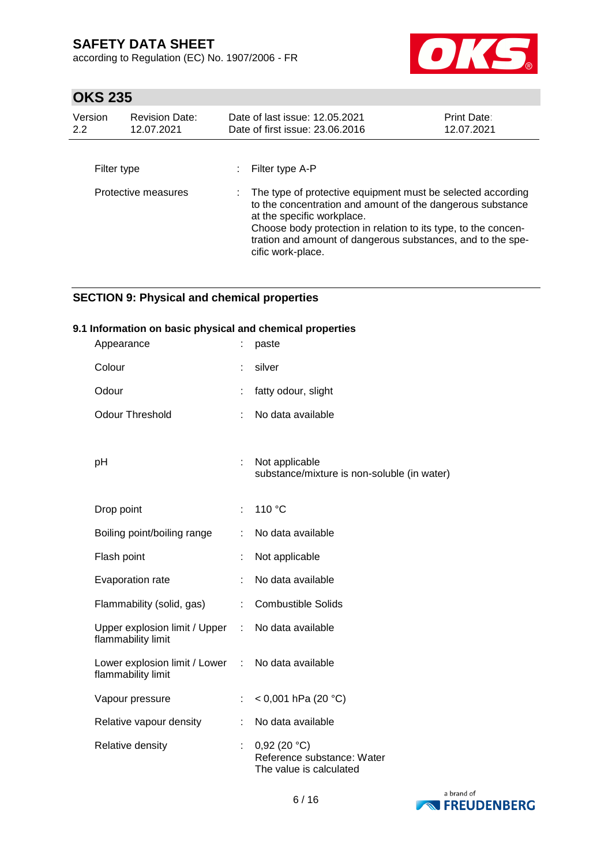according to Regulation (EC) No. 1907/2006 - FR



# **OKS 235**

| Version<br>2.2 | <b>Revision Date:</b><br>12.07.2021 | Date of last issue: 12.05.2021<br>Date of first issue: 23,06,2016                                                                                                                                                                                                                                             | Print Date:<br>12.07.2021 |
|----------------|-------------------------------------|---------------------------------------------------------------------------------------------------------------------------------------------------------------------------------------------------------------------------------------------------------------------------------------------------------------|---------------------------|
| Filter type    |                                     | Filter type A-P                                                                                                                                                                                                                                                                                               |                           |
|                | Protective measures                 | The type of protective equipment must be selected according<br>to the concentration and amount of the dangerous substance<br>at the specific workplace.<br>Choose body protection in relation to its type, to the concen-<br>tration and amount of dangerous substances, and to the spe-<br>cific work-place. |                           |

## **SECTION 9: Physical and chemical properties**

#### **9.1 Information on basic physical and chemical properties**

| Appearance                                          |    | paste                                                                |
|-----------------------------------------------------|----|----------------------------------------------------------------------|
| Colour                                              |    | silver                                                               |
| Odour                                               |    | fatty odour, slight                                                  |
| <b>Odour Threshold</b>                              |    | No data available                                                    |
|                                                     |    |                                                                      |
| рH                                                  | t. | Not applicable<br>substance/mixture is non-soluble (in water)        |
|                                                     |    |                                                                      |
| Drop point                                          | ÷. | 110 °C                                                               |
| Boiling point/boiling range                         | t  | No data available                                                    |
| Flash point                                         | t. | Not applicable                                                       |
| Evaporation rate                                    | t. | No data available                                                    |
| Flammability (solid, gas)                           | t. | <b>Combustible Solids</b>                                            |
| Upper explosion limit / Upper<br>flammability limit | ÷  | No data available                                                    |
| Lower explosion limit / Lower<br>flammability limit | ÷. | No data available                                                    |
| Vapour pressure                                     |    | < 0,001 hPa (20 °C)                                                  |
| Relative vapour density                             |    | No data available                                                    |
| Relative density                                    | t, | 0,92(20 °C)<br>Reference substance: Water<br>The value is calculated |

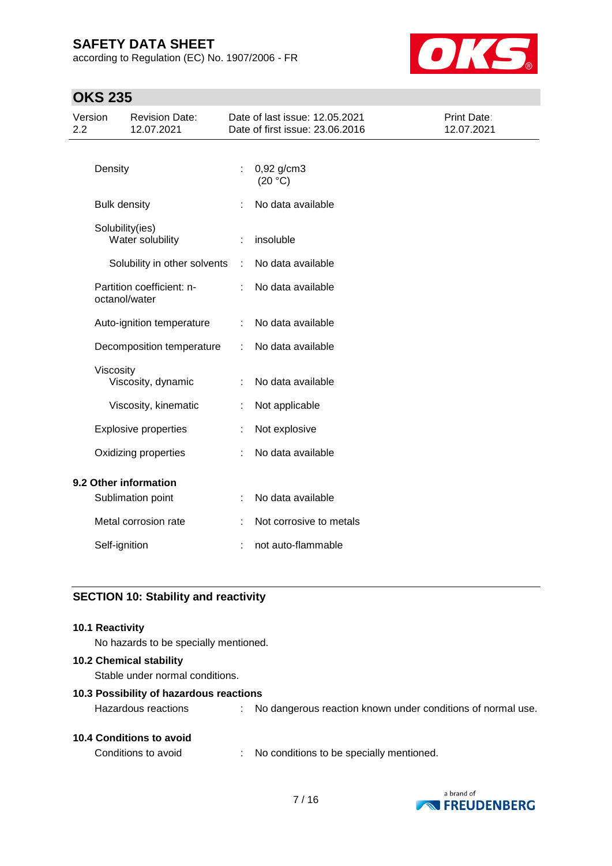according to Regulation (EC) No. 1907/2006 - FR



# **OKS 235**

| Version<br>2.2        |                     | <b>Revision Date:</b><br>12.07.2021 |   | Date of last issue: 12.05.2021<br>Date of first issue: 23.06.2016 | Print Date:<br>12.07.2021 |
|-----------------------|---------------------|-------------------------------------|---|-------------------------------------------------------------------|---------------------------|
|                       | Density             |                                     | ÷ | $0,92$ g/cm3<br>(20 °C)                                           |                           |
|                       | <b>Bulk density</b> |                                     |   | No data available                                                 |                           |
|                       | Solubility(ies)     | Water solubility                    |   | insoluble                                                         |                           |
|                       |                     | Solubility in other solvents        | ÷ | No data available                                                 |                           |
|                       | octanol/water       | Partition coefficient: n-           | ÷ | No data available                                                 |                           |
|                       |                     | Auto-ignition temperature           | ÷ | No data available                                                 |                           |
|                       |                     | Decomposition temperature           | ÷ | No data available                                                 |                           |
|                       | Viscosity           | Viscosity, dynamic                  |   | No data available                                                 |                           |
|                       |                     | Viscosity, kinematic                | ÷ | Not applicable                                                    |                           |
|                       |                     | <b>Explosive properties</b>         |   | Not explosive                                                     |                           |
|                       |                     | Oxidizing properties                |   | No data available                                                 |                           |
| 9.2 Other information |                     |                                     |   |                                                                   |                           |
|                       |                     | Sublimation point                   |   | No data available                                                 |                           |
|                       |                     | Metal corrosion rate                |   | Not corrosive to metals                                           |                           |
|                       | Self-ignition       |                                     |   | not auto-flammable                                                |                           |
|                       |                     |                                     |   |                                                                   |                           |

## **SECTION 10: Stability and reactivity**

#### **10.1 Reactivity**

No hazards to be specially mentioned.

#### **10.2 Chemical stability**

Stable under normal conditions.

#### **10.3 Possibility of hazardous reactions**

| <b>10.4 Conditions to avoid</b> |  |
|---------------------------------|--|
|---------------------------------|--|

Conditions to avoid : No conditions to be specially mentioned.



Hazardous reactions : No dangerous reaction known under conditions of normal use.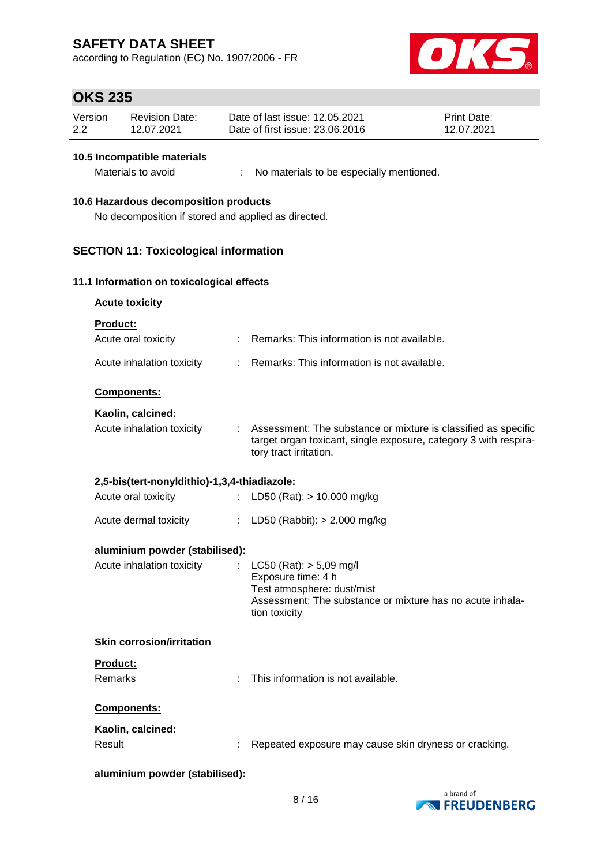according to Regulation (EC) No. 1907/2006 - FR



## **OKS 235**

| Version | Revision Date: | Date of last issue: 12.05.2021  | <b>Print Date:</b> |
|---------|----------------|---------------------------------|--------------------|
| 2.2     | 12.07.2021     | Date of first issue: 23.06.2016 | 12.07.2021         |

#### **10.5 Incompatible materials**

Materials to avoid : No materials to be especially mentioned.

#### **10.6 Hazardous decomposition products**

No decomposition if stored and applied as directed.

### **SECTION 11: Toxicological information**

#### **11.1 Information on toxicological effects**

| <b>Acute toxicity</b> |  |
|-----------------------|--|
| <b>Product:</b>       |  |

| Acute oral toxicity                          | : Remarks: This information is not available.                                                                                                                |
|----------------------------------------------|--------------------------------------------------------------------------------------------------------------------------------------------------------------|
| Acute inhalation toxicity                    | : Remarks: This information is not available.                                                                                                                |
| <b>Components:</b>                           |                                                                                                                                                              |
| Kaolin, calcined:                            |                                                                                                                                                              |
| Acute inhalation toxicity                    | Assessment: The substance or mixture is classified as specific<br>target organ toxicant, single exposure, category 3 with respira-<br>tory tract irritation. |
| 2,5-bis(tert-nonyldithio)-1,3,4-thiadiazole: |                                                                                                                                                              |

| Acute oral toxicity | : LD50 (Rat): $> 10.000$ mg/kg |
|---------------------|--------------------------------|
|                     |                                |

| Acute dermal toxicity |  | LD50 (Rabbit): > 2.000 mg/kg |  |
|-----------------------|--|------------------------------|--|
|-----------------------|--|------------------------------|--|

#### **aluminium powder (stabilised):**

| Acute inhalation toxicity | : $LC50$ (Rat): $> 5.09$ mg/l<br>Exposure time: 4 h<br>Test atmosphere: dust/mist<br>Assessment: The substance or mixture has no acute inhala- |
|---------------------------|------------------------------------------------------------------------------------------------------------------------------------------------|
|                           | tion toxicity                                                                                                                                  |

#### **Skin corrosion/irritation**

## **Product:**

Remarks : This information is not available.

#### **Components:**

| Kaolin, calcined: |                                                       |
|-------------------|-------------------------------------------------------|
| Result            | Repeated exposure may cause skin dryness or cracking. |

#### **aluminium powder (stabilised):**

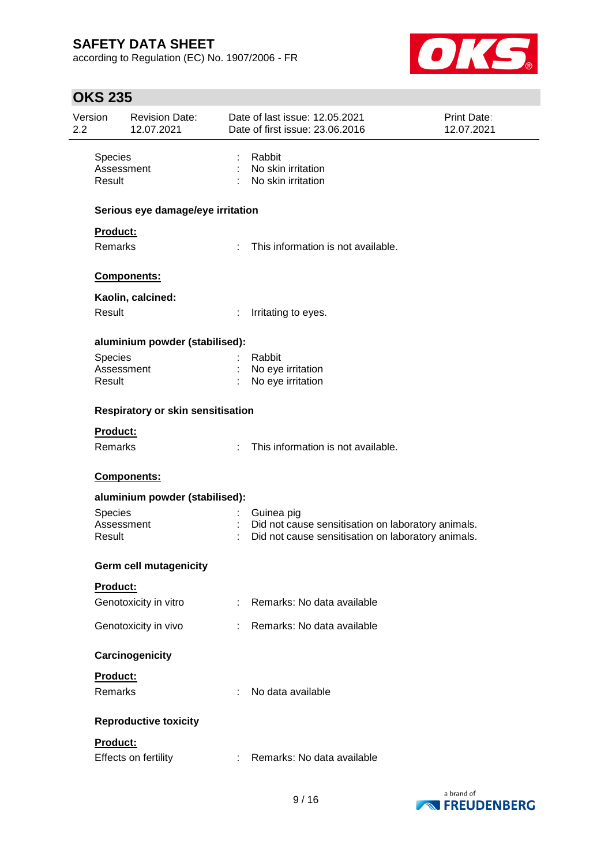according to Regulation (EC) No. 1907/2006 - FR



# **OKS 235**

| Version<br>$2.2\phantom{0}$ |                                        | <b>Revision Date:</b><br>12.07.2021      |               | Date of last issue: 12.05.2021<br>Date of first issue: 23.06.2016                                          | Print Date:<br>12.07.2021 |
|-----------------------------|----------------------------------------|------------------------------------------|---------------|------------------------------------------------------------------------------------------------------------|---------------------------|
|                             | <b>Species</b><br>Assessment<br>Result |                                          |               | Rabbit<br>: No skin irritation<br>No skin irritation                                                       |                           |
|                             |                                        | Serious eye damage/eye irritation        |               |                                                                                                            |                           |
|                             | Product:<br>Remarks                    |                                          | ÷.            | This information is not available.                                                                         |                           |
|                             |                                        | Components:                              |               |                                                                                                            |                           |
|                             |                                        | Kaolin, calcined:                        |               |                                                                                                            |                           |
|                             | Result                                 |                                          | ÷             | Irritating to eyes.                                                                                        |                           |
|                             |                                        | aluminium powder (stabilised):           |               |                                                                                                            |                           |
|                             | Species                                |                                          |               | Rabbit                                                                                                     |                           |
|                             | Assessment<br>Result                   |                                          |               | No eye irritation<br>No eye irritation                                                                     |                           |
|                             |                                        | <b>Respiratory or skin sensitisation</b> |               |                                                                                                            |                           |
|                             | Product:                               |                                          |               |                                                                                                            |                           |
|                             | Remarks                                |                                          | ÷.            | This information is not available.                                                                         |                           |
|                             |                                        | Components:                              |               |                                                                                                            |                           |
|                             |                                        | aluminium powder (stabilised):           |               |                                                                                                            |                           |
|                             | Species                                |                                          |               | Guinea pig                                                                                                 |                           |
|                             | Assessment<br>Result                   |                                          |               | : Did not cause sensitisation on laboratory animals.<br>Did not cause sensitisation on laboratory animals. |                           |
|                             |                                        | Germ cell mutagenicity                   |               |                                                                                                            |                           |
|                             | <b>Product:</b>                        |                                          |               |                                                                                                            |                           |
|                             |                                        | Genotoxicity in vitro                    |               | : Remarks: No data available                                                                               |                           |
|                             |                                        | Genotoxicity in vivo                     | t.            | Remarks: No data available                                                                                 |                           |
|                             |                                        | Carcinogenicity                          |               |                                                                                                            |                           |
|                             | Product:<br>Remarks                    |                                          |               | No data available                                                                                          |                           |
|                             |                                        | <b>Reproductive toxicity</b>             |               |                                                                                                            |                           |
|                             | Product:                               | Effects on fertility                     | $\mathcal{L}$ | Remarks: No data available                                                                                 |                           |

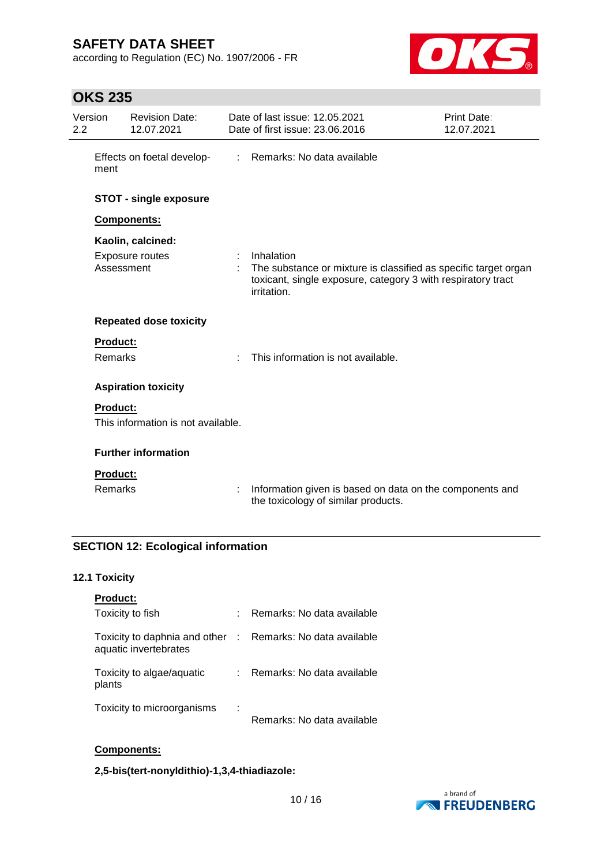according to Regulation (EC) No. 1907/2006 - FR



# **OKS 235**

| Version<br>2.2 |                    | <b>Revision Date:</b><br>12.07.2021  |                           | Date of last issue: 12.05.2021<br>Date of first issue: 23.06.2016                                                                                            | Print Date:<br>12.07.2021 |
|----------------|--------------------|--------------------------------------|---------------------------|--------------------------------------------------------------------------------------------------------------------------------------------------------------|---------------------------|
|                | ment               | Effects on foetal develop-           | $\mathbb{Z}^{\mathbb{Z}}$ | Remarks: No data available                                                                                                                                   |                           |
|                |                    | <b>STOT - single exposure</b>        |                           |                                                                                                                                                              |                           |
|                | <b>Components:</b> |                                      |                           |                                                                                                                                                              |                           |
|                | Assessment         | Kaolin, calcined:<br>Exposure routes |                           | Inhalation<br>The substance or mixture is classified as specific target organ<br>toxicant, single exposure, category 3 with respiratory tract<br>irritation. |                           |
|                |                    | <b>Repeated dose toxicity</b>        |                           |                                                                                                                                                              |                           |
|                | <b>Product:</b>    |                                      |                           |                                                                                                                                                              |                           |
|                | <b>Remarks</b>     |                                      |                           | This information is not available.                                                                                                                           |                           |
|                |                    | <b>Aspiration toxicity</b>           |                           |                                                                                                                                                              |                           |
|                | <b>Product:</b>    |                                      |                           |                                                                                                                                                              |                           |
|                |                    | This information is not available.   |                           |                                                                                                                                                              |                           |
|                |                    | <b>Further information</b>           |                           |                                                                                                                                                              |                           |
|                | <b>Product:</b>    |                                      |                           |                                                                                                                                                              |                           |
|                | Remarks            |                                      |                           | Information given is based on data on the components and<br>the toxicology of similar products.                                                              |                           |

## **SECTION 12: Ecological information**

#### **12.1 Toxicity**

| <b>Product:</b>                                        |             |                            |
|--------------------------------------------------------|-------------|----------------------------|
| Toxicity to fish                                       | t.          | Remarks: No data available |
| Toxicity to daphnia and other<br>aquatic invertebrates | $\sim 10^6$ | Remarks: No data available |
| Toxicity to algae/aquatic<br>plants                    | t.          | Remarks: No data available |
| Toxicity to microorganisms                             | ÷           | Remarks: No data available |

## **Components:**

**2,5-bis(tert-nonyldithio)-1,3,4-thiadiazole:**

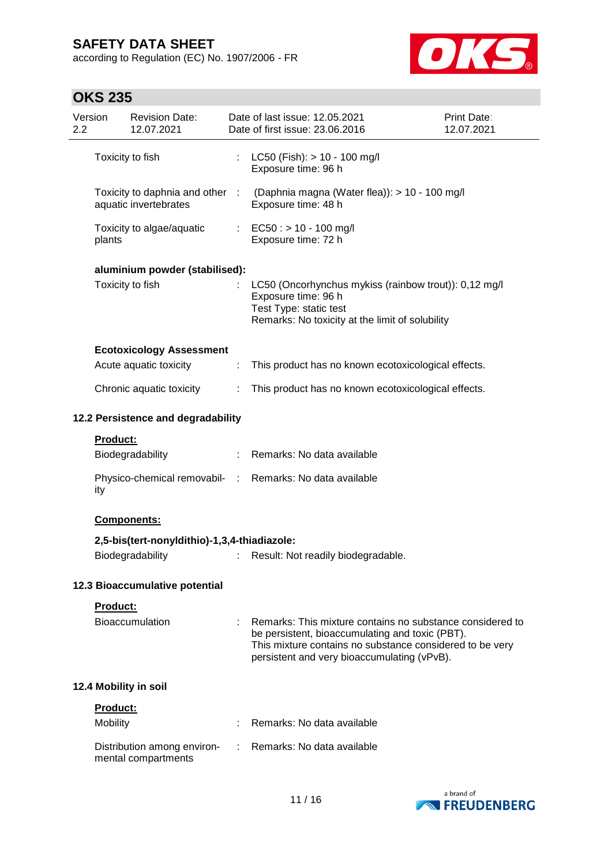according to Regulation (EC) No. 1907/2006 - FR



# **OKS 235**

| Version<br>2.2 |                 | <b>Revision Date:</b><br>12.07.2021                      |                           | Date of last issue: 12.05.2021<br>Date of first issue: 23.06.2016                                                                                                                                                       | <b>Print Date:</b><br>12.07.2021 |
|----------------|-----------------|----------------------------------------------------------|---------------------------|-------------------------------------------------------------------------------------------------------------------------------------------------------------------------------------------------------------------------|----------------------------------|
|                |                 | Toxicity to fish                                         | $\mathbb{Z}^{\mathbb{Z}}$ | $LC50$ (Fish): $> 10 - 100$ mg/l<br>Exposure time: 96 h                                                                                                                                                                 |                                  |
|                |                 | Toxicity to daphnia and other :<br>aquatic invertebrates |                           | (Daphnia magna (Water flea)): > 10 - 100 mg/l<br>Exposure time: 48 h                                                                                                                                                    |                                  |
|                | plants          | Toxicity to algae/aquatic                                |                           | : EC50 : $> 10 - 100$ mg/l<br>Exposure time: 72 h                                                                                                                                                                       |                                  |
|                |                 | aluminium powder (stabilised):                           |                           |                                                                                                                                                                                                                         |                                  |
|                |                 | Toxicity to fish                                         |                           | LC50 (Oncorhynchus mykiss (rainbow trout)): 0,12 mg/l<br>Exposure time: 96 h<br>Test Type: static test<br>Remarks: No toxicity at the limit of solubility                                                               |                                  |
|                |                 | <b>Ecotoxicology Assessment</b>                          |                           |                                                                                                                                                                                                                         |                                  |
|                |                 | Acute aquatic toxicity                                   | ÷                         | This product has no known ecotoxicological effects.                                                                                                                                                                     |                                  |
|                |                 | Chronic aquatic toxicity                                 | ÷                         | This product has no known ecotoxicological effects.                                                                                                                                                                     |                                  |
|                |                 | 12.2 Persistence and degradability                       |                           |                                                                                                                                                                                                                         |                                  |
|                | <b>Product:</b> |                                                          |                           |                                                                                                                                                                                                                         |                                  |
|                |                 | Biodegradability                                         |                           | : Remarks: No data available                                                                                                                                                                                            |                                  |
|                | ity             |                                                          |                           | Physico-chemical removabil- : Remarks: No data available                                                                                                                                                                |                                  |
|                |                 | Components:                                              |                           |                                                                                                                                                                                                                         |                                  |
|                |                 | 2,5-bis(tert-nonyldithio)-1,3,4-thiadiazole:             |                           |                                                                                                                                                                                                                         |                                  |
|                |                 | Biodegradability                                         |                           | Result: Not readily biodegradable.                                                                                                                                                                                      |                                  |
|                |                 | 12.3 Bioaccumulative potential                           |                           |                                                                                                                                                                                                                         |                                  |
|                | Product:        |                                                          |                           |                                                                                                                                                                                                                         |                                  |
|                |                 | <b>Bioaccumulation</b>                                   |                           | Remarks: This mixture contains no substance considered to<br>be persistent, bioaccumulating and toxic (PBT).<br>This mixture contains no substance considered to be very<br>persistent and very bioaccumulating (vPvB). |                                  |
|                |                 | 12.4 Mobility in soil                                    |                           |                                                                                                                                                                                                                         |                                  |
|                | <b>Product:</b> |                                                          |                           |                                                                                                                                                                                                                         |                                  |
|                | Mobility        |                                                          |                           | Remarks: No data available                                                                                                                                                                                              |                                  |
|                |                 | Distribution among environ-<br>mental compartments       |                           | Remarks: No data available                                                                                                                                                                                              |                                  |

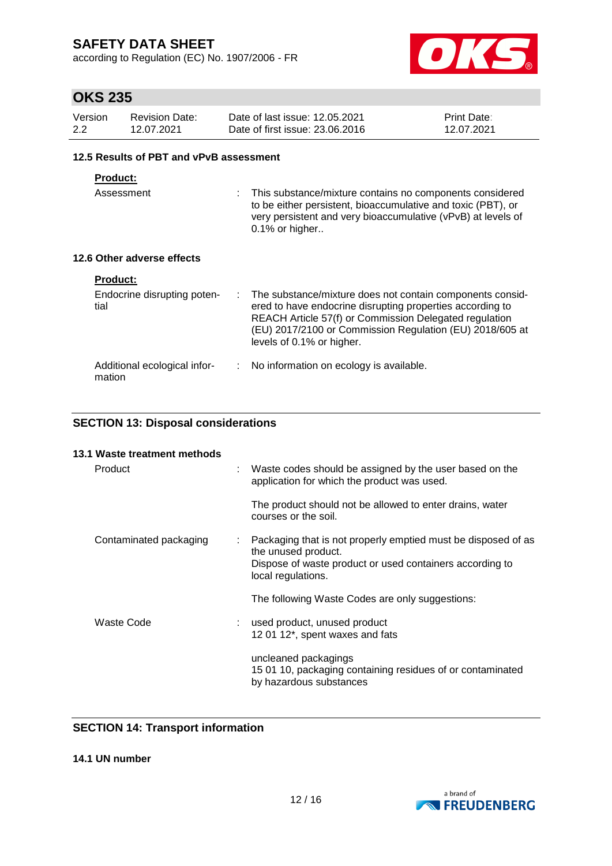according to Regulation (EC) No. 1907/2006 - FR



## **OKS 235**

| Version | <b>Revision Date:</b> | Date of last issue: 12.05.2021  | <b>Print Date:</b> |
|---------|-----------------------|---------------------------------|--------------------|
| 2.2     | 12.07.2021            | Date of first issue: 23,06,2016 | 12.07.2021         |

#### **12.5 Results of PBT and vPvB assessment**

## **Product:**

Assessment : This substance/mixture contains no components considered to be either persistent, bioaccumulative and toxic (PBT), or very persistent and very bioaccumulative (vPvB) at levels of 0.1% or higher..

### **12.6 Other adverse effects**

| <b>Product:</b>                        |                                                                                                                                                                                                                                                                             |
|----------------------------------------|-----------------------------------------------------------------------------------------------------------------------------------------------------------------------------------------------------------------------------------------------------------------------------|
| Endocrine disrupting poten-<br>tial    | : The substance/mixture does not contain components consid-<br>ered to have endocrine disrupting properties according to<br>REACH Article 57(f) or Commission Delegated regulation<br>(EU) 2017/2100 or Commission Regulation (EU) 2018/605 at<br>levels of 0.1% or higher. |
| Additional ecological infor-<br>mation | No information on ecology is available.                                                                                                                                                                                                                                     |

## **SECTION 13: Disposal considerations**

| 13.1 Waste treatment methods |                                                                                                               |
|------------------------------|---------------------------------------------------------------------------------------------------------------|
| Product                      | Waste codes should be assigned by the user based on the<br>application for which the product was used.        |
|                              | The product should not be allowed to enter drains, water<br>courses or the soil.                              |
| Contaminated packaging       | Packaging that is not properly emptied must be disposed of as<br>the unused product.                          |
|                              | Dispose of waste product or used containers according to<br>local regulations.                                |
|                              | The following Waste Codes are only suggestions:                                                               |
| Waste Code                   | used product, unused product<br>12 01 12*, spent waxes and fats                                               |
|                              | uncleaned packagings<br>15 01 10, packaging containing residues of or contaminated<br>by hazardous substances |

## **SECTION 14: Transport information**

### **14.1 UN number**

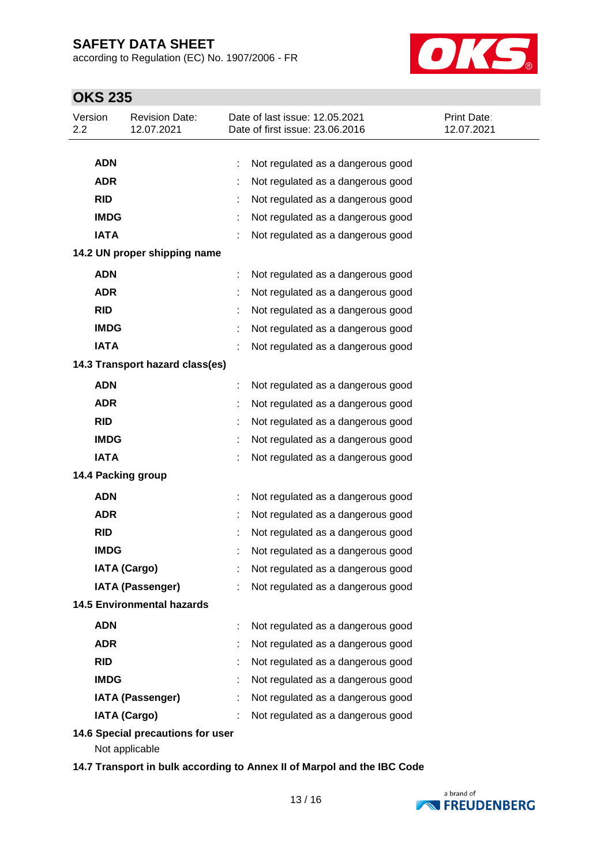according to Regulation (EC) No. 1907/2006 - FR



# **OKS 235**

| Version<br>2.2 | <b>Revision Date:</b><br>12.07.2021                 | Date of last issue: 12.05.2021<br>Date of first issue: 23.06.2016 | <b>Print Date:</b><br>12.07.2021 |
|----------------|-----------------------------------------------------|-------------------------------------------------------------------|----------------------------------|
| <b>ADN</b>     |                                                     | Not regulated as a dangerous good<br>t                            |                                  |
| <b>ADR</b>     |                                                     | Not regulated as a dangerous good                                 |                                  |
| <b>RID</b>     |                                                     | Not regulated as a dangerous good                                 |                                  |
| <b>IMDG</b>    |                                                     | Not regulated as a dangerous good                                 |                                  |
| <b>IATA</b>    |                                                     | Not regulated as a dangerous good                                 |                                  |
|                | 14.2 UN proper shipping name                        |                                                                   |                                  |
| <b>ADN</b>     |                                                     | Not regulated as a dangerous good                                 |                                  |
| <b>ADR</b>     |                                                     | Not regulated as a dangerous good                                 |                                  |
| <b>RID</b>     |                                                     | Not regulated as a dangerous good                                 |                                  |
| <b>IMDG</b>    |                                                     | Not regulated as a dangerous good                                 |                                  |
| <b>IATA</b>    |                                                     | Not regulated as a dangerous good                                 |                                  |
|                | 14.3 Transport hazard class(es)                     |                                                                   |                                  |
| <b>ADN</b>     |                                                     | Not regulated as a dangerous good                                 |                                  |
| <b>ADR</b>     |                                                     | Not regulated as a dangerous good                                 |                                  |
| <b>RID</b>     |                                                     | Not regulated as a dangerous good                                 |                                  |
| <b>IMDG</b>    |                                                     | Not regulated as a dangerous good                                 |                                  |
| <b>IATA</b>    |                                                     | Not regulated as a dangerous good                                 |                                  |
|                | 14.4 Packing group                                  |                                                                   |                                  |
| <b>ADN</b>     |                                                     | Not regulated as a dangerous good<br>÷                            |                                  |
| <b>ADR</b>     |                                                     | Not regulated as a dangerous good                                 |                                  |
| <b>RID</b>     |                                                     | Not regulated as a dangerous good                                 |                                  |
| <b>IMDG</b>    |                                                     | Not regulated as a dangerous good                                 |                                  |
|                | <b>IATA (Cargo)</b>                                 | Not regulated as a dangerous good                                 |                                  |
|                | <b>IATA (Passenger)</b>                             | Not regulated as a dangerous good                                 |                                  |
|                | <b>14.5 Environmental hazards</b>                   |                                                                   |                                  |
| <b>ADN</b>     |                                                     | Not regulated as a dangerous good                                 |                                  |
| <b>ADR</b>     |                                                     | Not regulated as a dangerous good                                 |                                  |
| <b>RID</b>     |                                                     | Not regulated as a dangerous good                                 |                                  |
| <b>IMDG</b>    |                                                     | Not regulated as a dangerous good                                 |                                  |
|                | <b>IATA (Passenger)</b>                             | Not regulated as a dangerous good                                 |                                  |
|                | <b>IATA (Cargo)</b>                                 | Not regulated as a dangerous good                                 |                                  |
|                | 14.6 Special precautions for user<br>Not applicable |                                                                   |                                  |

**14.7 Transport in bulk according to Annex II of Marpol and the IBC Code**

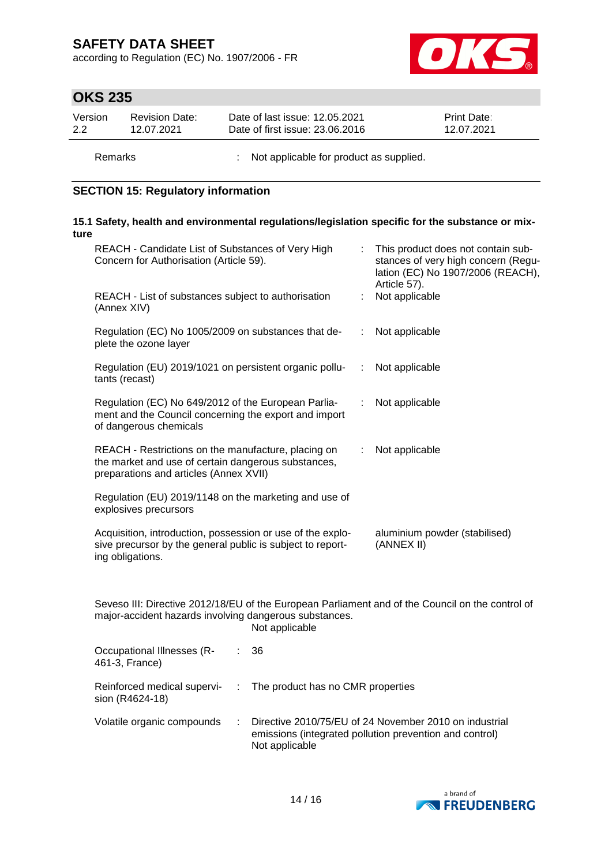according to Regulation (EC) No. 1907/2006 - FR



# **OKS 235**

| Version | <b>Revision Date:</b> | Date of last issue: 12.05.2021  | <b>Print Date:</b> |
|---------|-----------------------|---------------------------------|--------------------|
| 2.2     | 12.07.2021            | Date of first issue: 23.06.2016 | 12.07.2021         |
|         |                       |                                 |                    |

Remarks : Not applicable for product as supplied.

# **SECTION 15: Regulatory information**

#### **15.1 Safety, health and environmental regulations/legislation specific for the substance or mixture**

| REACH - Candidate List of Substances of Very High<br>Concern for Authorisation (Article 59).                                                         |      | This product does not contain sub-<br>stances of very high concern (Regu-<br>lation (EC) No 1907/2006 (REACH),<br>Article 57). |
|------------------------------------------------------------------------------------------------------------------------------------------------------|------|--------------------------------------------------------------------------------------------------------------------------------|
| REACH - List of substances subject to authorisation<br>(Annex XIV)                                                                                   |      | Not applicable                                                                                                                 |
| Regulation (EC) No 1005/2009 on substances that de-<br>plete the ozone layer                                                                         | ÷.   | Not applicable                                                                                                                 |
| Regulation (EU) 2019/1021 on persistent organic pollu-<br>tants (recast)                                                                             | - 11 | Not applicable                                                                                                                 |
| Regulation (EC) No 649/2012 of the European Parlia-<br>ment and the Council concerning the export and import<br>of dangerous chemicals               | ÷    | Not applicable                                                                                                                 |
| REACH - Restrictions on the manufacture, placing on<br>the market and use of certain dangerous substances,<br>preparations and articles (Annex XVII) | ÷    | Not applicable                                                                                                                 |
| Regulation (EU) 2019/1148 on the marketing and use of<br>explosives precursors                                                                       |      |                                                                                                                                |
| Acquisition, introduction, possession or use of the explo-<br>sive precursor by the general public is subject to report-<br>ing obligations.         |      | aluminium powder (stabilised)<br>(ANNEX II)                                                                                    |
| Couses III: Directive 2012/10/ELL of the European Derliement and of the Council on the control of                                                    |      |                                                                                                                                |

Seveso III: Directive 2012/18/EU of the European Parliament and of the Council on the control of major-accident hazards involving dangerous substances. Not applicable

| Occupational Illnesses (R-<br>461-3, France)   | : 36                                                                                                                                |
|------------------------------------------------|-------------------------------------------------------------------------------------------------------------------------------------|
| Reinforced medical supervi-<br>sion (R4624-18) | : The product has no CMR properties                                                                                                 |
| Volatile organic compounds                     | Directive 2010/75/EU of 24 November 2010 on industrial<br>emissions (integrated pollution prevention and control)<br>Not applicable |

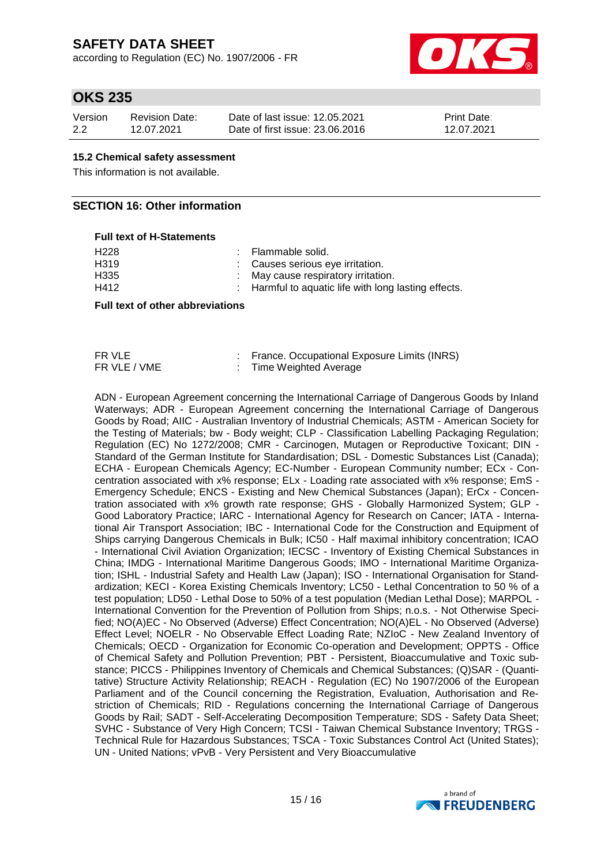according to Regulation (EC) No. 1907/2006 - FR



## **OKS 235**

| Version | Revision Date: | Date of last issue: 12.05.2021  | <b>Print Date:</b> |
|---------|----------------|---------------------------------|--------------------|
| 2.2     | 12.07.2021     | Date of first issue: 23,06,2016 | 12.07.2021         |

#### **15.2 Chemical safety assessment**

This information is not available.

### **SECTION 16: Other information**

## **Full text of H-Statements** H<sub>228</sub> : Flammable solid. H319 : Causes serious eye irritation.<br>H335 : May cause respiratory irritation. H335 : May cause respiratory irritation.<br>H412 : Harmful to aquatic life with long Harmful to aquatic life with long lasting effects.

#### **Full text of other abbreviations**

| FR VLE       | France. Occupational Exposure Limits (INRS) |
|--------------|---------------------------------------------|
| FR VLE / VME | Time Weighted Average                       |

ADN - European Agreement concerning the International Carriage of Dangerous Goods by Inland Waterways; ADR - European Agreement concerning the International Carriage of Dangerous Goods by Road; AIIC - Australian Inventory of Industrial Chemicals; ASTM - American Society for the Testing of Materials; bw - Body weight; CLP - Classification Labelling Packaging Regulation; Regulation (EC) No 1272/2008; CMR - Carcinogen, Mutagen or Reproductive Toxicant; DIN - Standard of the German Institute for Standardisation; DSL - Domestic Substances List (Canada); ECHA - European Chemicals Agency; EC-Number - European Community number; ECx - Concentration associated with x% response; ELx - Loading rate associated with x% response; EmS - Emergency Schedule; ENCS - Existing and New Chemical Substances (Japan); ErCx - Concentration associated with x% growth rate response; GHS - Globally Harmonized System; GLP - Good Laboratory Practice; IARC - International Agency for Research on Cancer; IATA - International Air Transport Association; IBC - International Code for the Construction and Equipment of Ships carrying Dangerous Chemicals in Bulk; IC50 - Half maximal inhibitory concentration; ICAO - International Civil Aviation Organization; IECSC - Inventory of Existing Chemical Substances in China; IMDG - International Maritime Dangerous Goods; IMO - International Maritime Organization; ISHL - Industrial Safety and Health Law (Japan); ISO - International Organisation for Standardization; KECI - Korea Existing Chemicals Inventory; LC50 - Lethal Concentration to 50 % of a test population; LD50 - Lethal Dose to 50% of a test population (Median Lethal Dose); MARPOL - International Convention for the Prevention of Pollution from Ships; n.o.s. - Not Otherwise Specified; NO(A)EC - No Observed (Adverse) Effect Concentration; NO(A)EL - No Observed (Adverse) Effect Level; NOELR - No Observable Effect Loading Rate; NZIoC - New Zealand Inventory of Chemicals; OECD - Organization for Economic Co-operation and Development; OPPTS - Office of Chemical Safety and Pollution Prevention; PBT - Persistent, Bioaccumulative and Toxic substance; PICCS - Philippines Inventory of Chemicals and Chemical Substances; (Q)SAR - (Quantitative) Structure Activity Relationship; REACH - Regulation (EC) No 1907/2006 of the European Parliament and of the Council concerning the Registration, Evaluation, Authorisation and Restriction of Chemicals; RID - Regulations concerning the International Carriage of Dangerous Goods by Rail; SADT - Self-Accelerating Decomposition Temperature; SDS - Safety Data Sheet; SVHC - Substance of Very High Concern; TCSI - Taiwan Chemical Substance Inventory; TRGS - Technical Rule for Hazardous Substances; TSCA - Toxic Substances Control Act (United States); UN - United Nations; vPvB - Very Persistent and Very Bioaccumulative